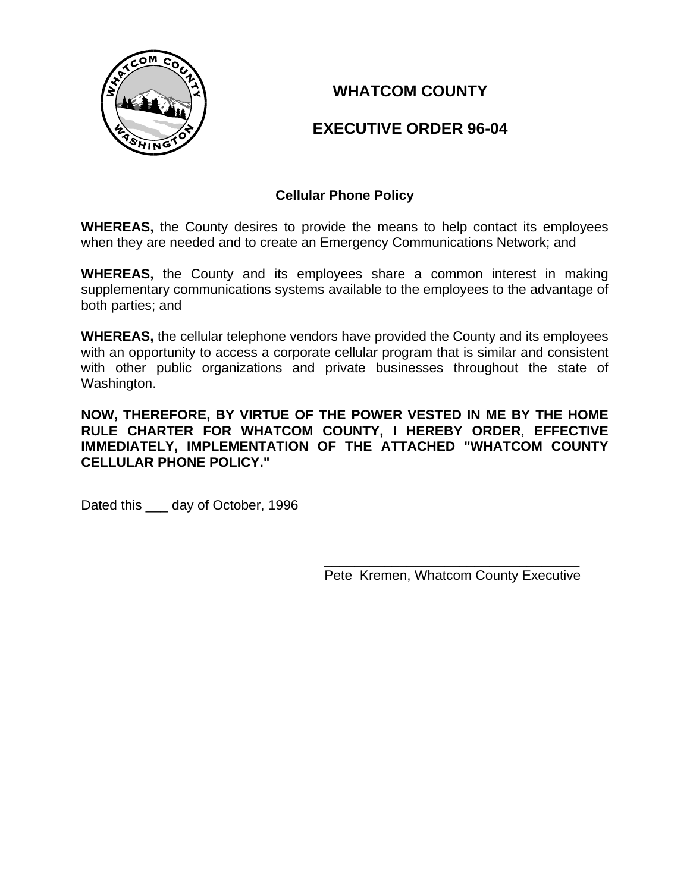

**WHATCOM COUNTY** 

# **EXECUTIVE ORDER 96-04**

# **Cellular Phone Policy**

**WHEREAS,** the County desires to provide the means to help contact its employees when they are needed and to create an Emergency Communications Network; and

**WHEREAS,** the County and its employees share a common interest in making supplementary communications systems available to the employees to the advantage of both parties; and

**WHEREAS,** the cellular telephone vendors have provided the County and its employees with an opportunity to access a corporate cellular program that is similar and consistent with other public organizations and private businesses throughout the state of Washington.

**NOW, THEREFORE, BY VIRTUE OF THE POWER VESTED IN ME BY THE HOME RULE CHARTER FOR WHATCOM COUNTY, I HEREBY ORDER**, **EFFECTIVE IMMEDIATELY, IMPLEMENTATION OF THE ATTACHED "WHATCOM COUNTY CELLULAR PHONE POLICY."**

Dated this \_\_\_\_ day of October, 1996

 $\frac{1}{\sqrt{2\pi}}$  , which is a set of the set of the set of the set of the set of the set of the set of the set of the set of the set of the set of the set of the set of the set of the set of the set of the set of the set of Pete Kremen, Whatcom County Executive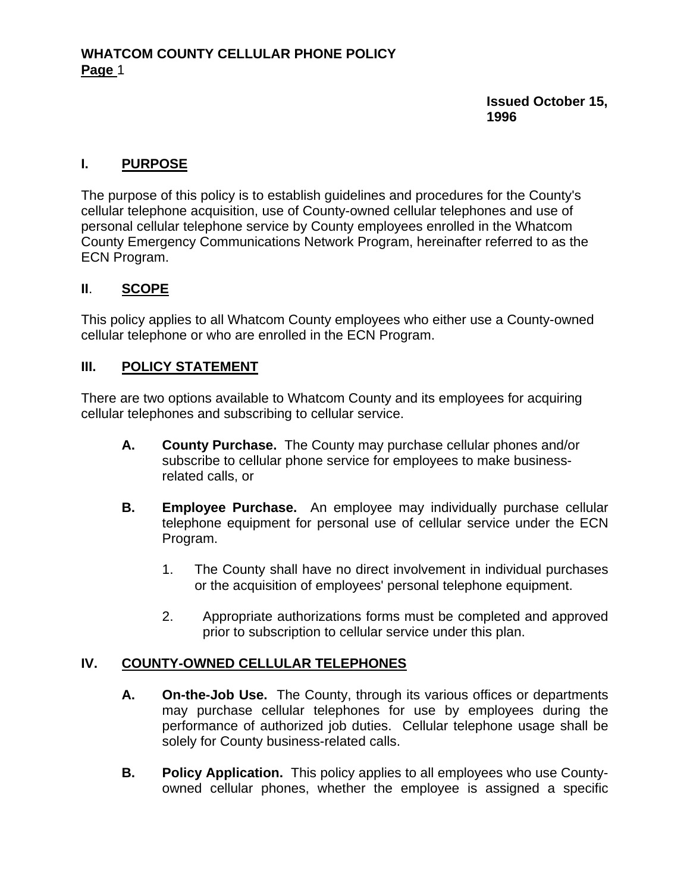#### **Issued October 15, 1996**

#### **I. PURPOSE**

The purpose of this policy is to establish guidelines and procedures for the County's cellular telephone acquisition, use of County-owned cellular telephones and use of personal cellular telephone service by County employees enrolled in the Whatcom County Emergency Communications Network Program, hereinafter referred to as the ECN Program.

#### **II**. **SCOPE**

This policy applies to all Whatcom County employees who either use a County-owned cellular telephone or who are enrolled in the ECN Program.

#### **III. POLICY STATEMENT**

There are two options available to Whatcom County and its employees for acquiring cellular telephones and subscribing to cellular service.

- **A. County Purchase.** The County may purchase cellular phones and/or subscribe to cellular phone service for employees to make businessrelated calls, or
- **B. Employee Purchase.** An employee may individually purchase cellular telephone equipment for personal use of cellular service under the ECN Program.
	- 1. The County shall have no direct involvement in individual purchases or the acquisition of employees' personal telephone equipment.
	- 2. Appropriate authorizations forms must be completed and approved prior to subscription to cellular service under this plan.

#### **IV. COUNTY-OWNED CELLULAR TELEPHONES**

- **A. On-the-Job Use.** The County, through its various offices or departments may purchase cellular telephones for use by employees during the performance of authorized job duties. Cellular telephone usage shall be solely for County business-related calls.
- **B. Policy Application.** This policy applies to all employees who use Countyowned cellular phones, whether the employee is assigned a specific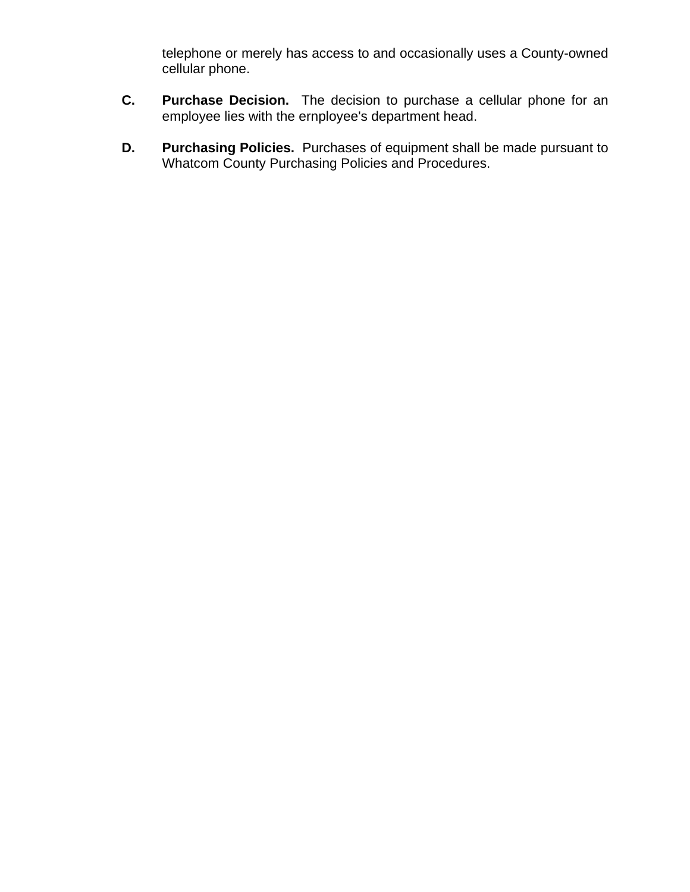telephone or merely has access to and occasionally uses a County-owned cellular phone.

- **C. Purchase Decision.** The decision to purchase a cellular phone for an employee lies with the ernployee's department head.
- **D. Purchasing Policies.** Purchases of equipment shall be made pursuant to Whatcom County Purchasing Policies and Procedures.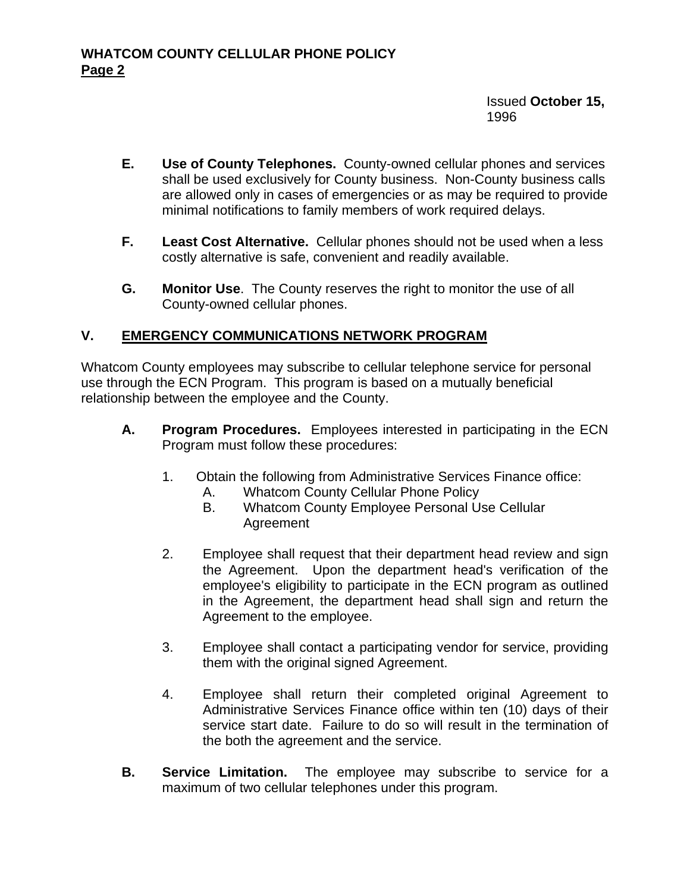#### Issued **October 15,**  1996

- **E. Use of County Telephones.** County-owned cellular phones and services shall be used exclusively for County business. Non-County business calls are allowed only in cases of emergencies or as may be required to provide minimal notifications to family members of work required delays.
- **F. Least Cost Alternative.** Cellular phones should not be used when a less costly alternative is safe, convenient and readily available.
- **G. Monitor Use**. The County reserves the right to monitor the use of all County-owned cellular phones.

# **V. EMERGENCY COMMUNICATIONS NETWORK PROGRAM**

Whatcom County employees may subscribe to cellular telephone service for personal use through the ECN Program. This program is based on a mutually beneficial relationship between the employee and the County.

- **A. Program Procedures.** Employees interested in participating in the ECN Program must follow these procedures:
	- 1. Obtain the following from Administrative Services Finance office:
		- A. Whatcom County Cellular Phone Policy
		- B. Whatcom County Employee Personal Use Cellular Agreement
	- 2. Employee shall request that their department head review and sign the Agreement. Upon the department head's verification of the employee's eligibility to participate in the ECN program as outlined in the Agreement, the department head shall sign and return the Agreement to the employee.
	- 3. Employee shall contact a participating vendor for service, providing them with the original signed Agreement.
	- 4. Employee shall return their completed original Agreement to Administrative Services Finance office within ten (10) days of their service start date. Failure to do so will result in the termination of the both the agreement and the service.
- **B. Service Limitation.** The employee may subscribe to service for a maximum of two cellular telephones under this program.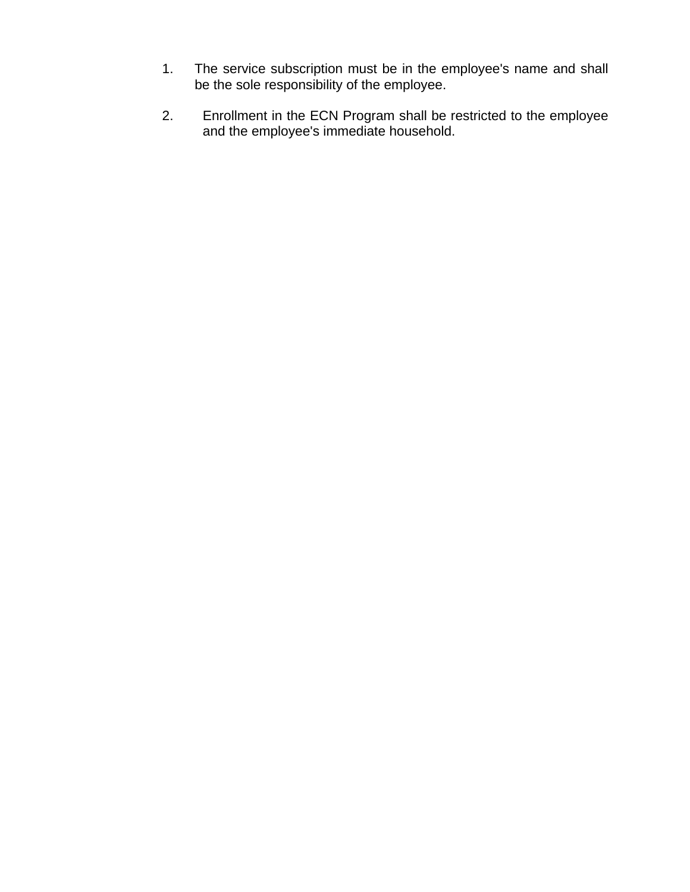- 1. The service subscription must be in the employee's name and shall be the sole responsibility of the employee.
- 2. Enrollment in the ECN Program shall be restricted to the employee and the employee's immediate household.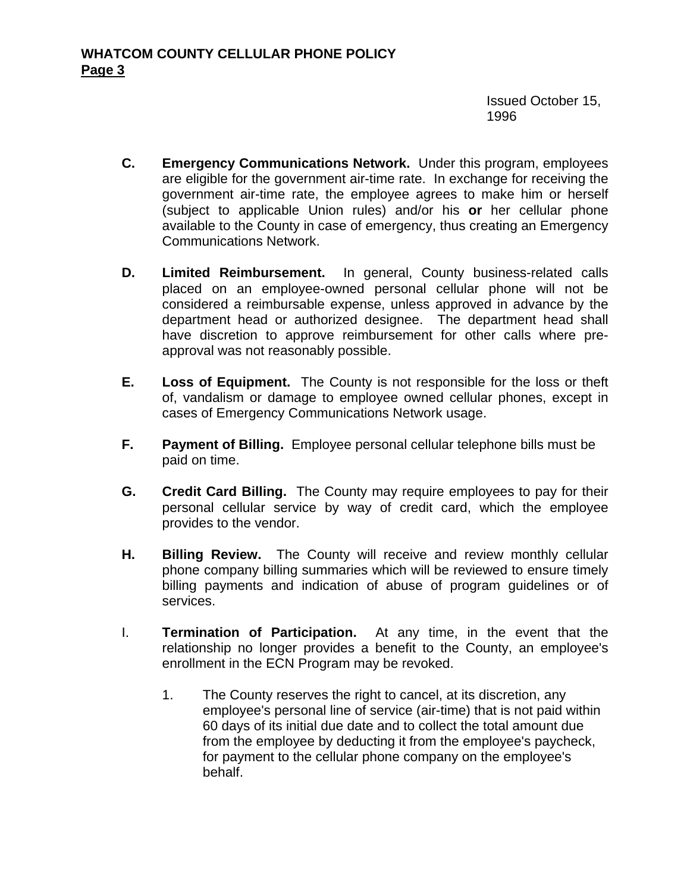Issued October 15, 1996

- **C. Emergency Communications Network.** Under this program, employees are eligible for the government air-time rate. In exchange for receiving the government air-time rate, the employee agrees to make him or herself (subject to applicable Union rules) and/or his **or** her cellular phone available to the County in case of emergency, thus creating an Emergency Communications Network.
- **D. Limited Reimbursement.** In general, County business-related calls placed on an employee-owned personal cellular phone will not be considered a reimbursable expense, unless approved in advance by the department head or authorized designee. The department head shall have discretion to approve reimbursement for other calls where preapproval was not reasonably possible.
- **E. Loss of Equipment.** The County is not responsible for the loss or theft of, vandalism or damage to employee owned cellular phones, except in cases of Emergency Communications Network usage.
- **F. Payment of Billing.** Employee personal cellular telephone bills must be paid on time.
- **G. Credit Card Billing.** The County may require employees to pay for their personal cellular service by way of credit card, which the employee provides to the vendor.
- **H. Billing Review.** The County will receive and review monthly cellular phone company billing summaries which will be reviewed to ensure timely billing payments and indication of abuse of program guidelines or of services.
- I. **Termination of Participation.** At any time, in the event that the relationship no longer provides a benefit to the County, an employee's enrollment in the ECN Program may be revoked.
	- 1. The County reserves the right to cancel, at its discretion, any employee's personal line of service (air-time) that is not paid within 60 days of its initial due date and to collect the total amount due from the employee by deducting it from the employee's paycheck, for payment to the cellular phone company on the employee's behalf.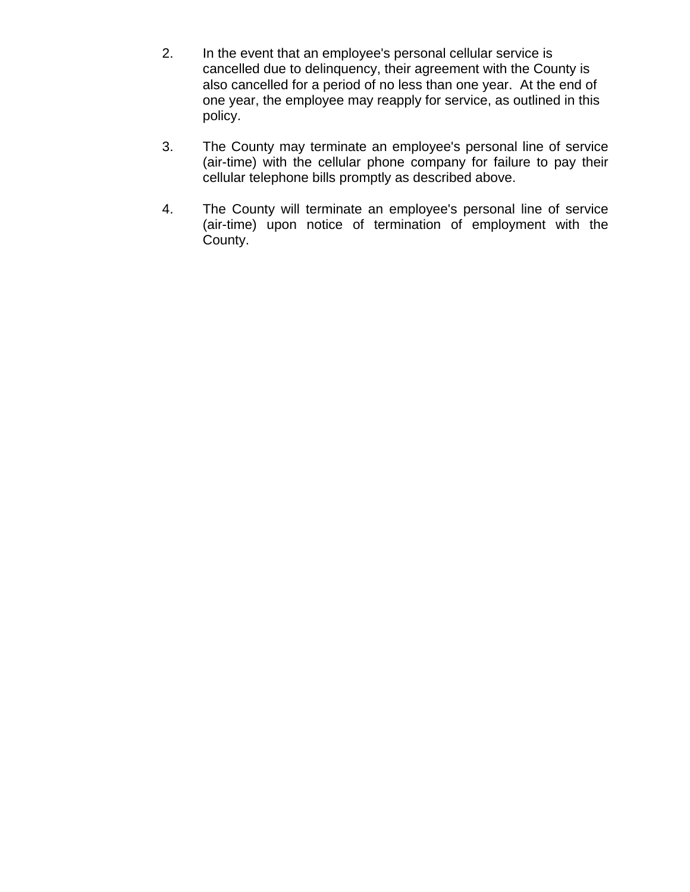- 2. In the event that an employee's personal cellular service is cancelled due to delinquency, their agreement with the County is also cancelled for a period of no less than one year. At the end of one year, the employee may reapply for service, as outlined in this policy.
- 3. The County may terminate an employee's personal line of service (air-time) with the cellular phone company for failure to pay their cellular telephone bills promptly as described above.
- 4. The County will terminate an employee's personal line of service (air-time) upon notice of termination of employment with the County.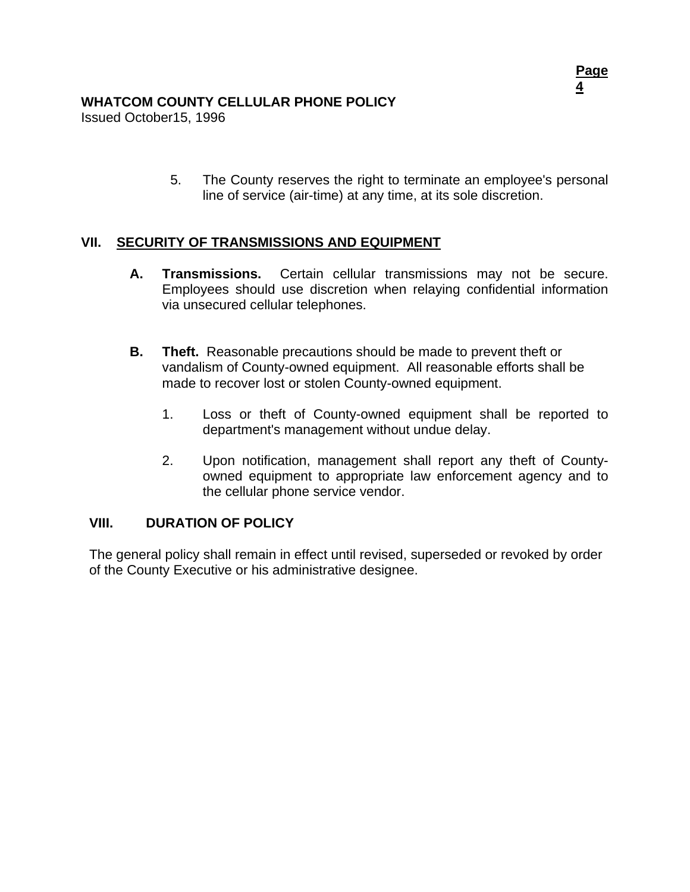#### **WHATCOM COUNTY CELLULAR PHONE POLICY**

Issued October15, 1996

5. The County reserves the right to terminate an employee's personal line of service (air-time) at any time, at its sole discretion.

#### **II. SECURITY OF TRANSMISSIONS AND EQUIPMENT V**

- **A. Transmissions.** Certain cellular transmissions may not be secure. Employees should use discretion when relaying confidential information via unsecured cellular telephones.
- **B. Theft.** Reasonable precautions should be made to prevent theft or vandalism of County-owned equipment. All reasonable efforts shall be made to recover lost or stolen County-owned equipment.
	- 1. Loss or theft of County-owned equipment shall be reported to department's management without undue delay.
	- 2. Upon notification, management shall report any theft of Countyowned equipment to appropriate law enforcement agency and to the cellular phone service vendor.

#### **VIII. DURATION OF POLICY**

The general policy shall remain in effect until revised, superseded or revoked by order of the County Executive or his administrative designee.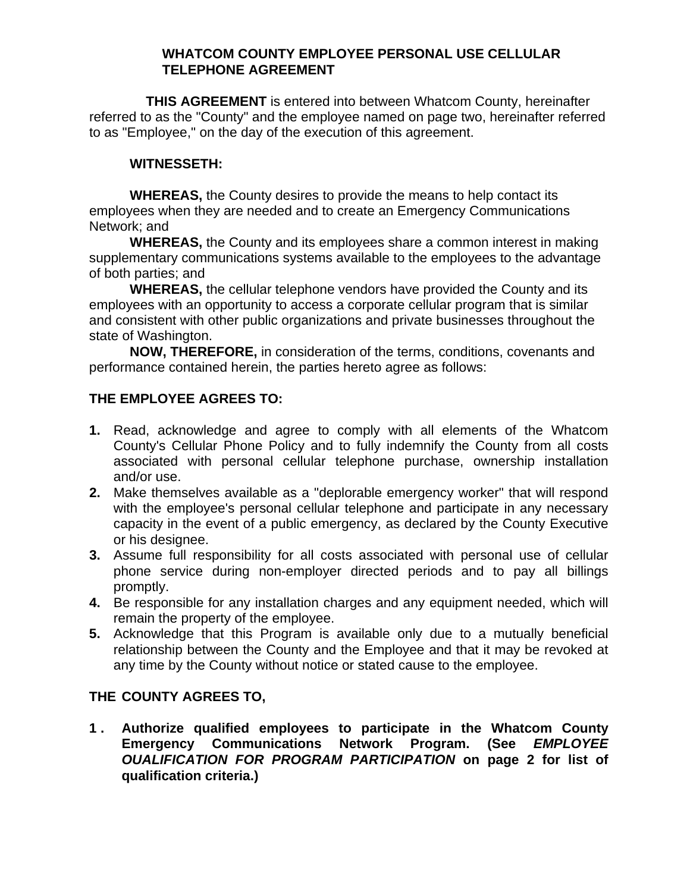#### **WHATCOM COUNTY EMPLOYEE PERSONAL USE CELLULAR TELEPHONE AGREEMENT**

**THIS AGREEMENT** is entered into between Whatcom County, hereinafter referred to as the "County" and the employee named on page two, hereinafter referred to as "Employee," on the day of the execution of this agreement.

#### **WITNESSETH:**

**WHEREAS,** the County desires to provide the means to help contact its employees when they are needed and to create an Emergency Communications Network; and

**WHEREAS,** the County and its employees share a common interest in making supplementary communications systems available to the employees to the advantage of both parties; and

**WHEREAS,** the cellular telephone vendors have provided the County and its employees with an opportunity to access a corporate cellular program that is similar and consistent with other public organizations and private businesses throughout the state of Washington.

**NOW, THEREFORE,** in consideration of the terms, conditions, covenants and performance contained herein, the parties hereto agree as follows:

# **THE EMPLOYEE AGREES TO:**

- **1.** Read, acknowledge and agree to comply with all elements of the Whatcom County's Cellular Phone Policy and to fully indemnify the County from all costs associated with personal cellular telephone purchase, ownership installation and/or use.
- **2.** Make themselves available as a "deplorable emergency worker" that will respond with the employee's personal cellular telephone and participate in any necessary capacity in the event of a public emergency, as declared by the County Executive or his designee.
- **3.** Assume full responsibility for all costs associated with personal use of cellular phone service during non-employer directed periods and to pay all billings promptly.
- **4.** Be responsible for any installation charges and any equipment needed, which will remain the property of the employee.
- **5.** Acknowledge that this Program is available only due to a mutually beneficial relationship between the County and the Employee and that it may be revoked at any time by the County without notice or stated cause to the employee.

# **THE COUNTY AGREES TO,**

**1 . Authorize qualified employees to participate in the Whatcom County Emergency Communications Network Program. (See** *EMPLOYEE OUALIFICATION FOR PROGRAM PARTICIPATION* **on page 2 for list of qualification criteria.)**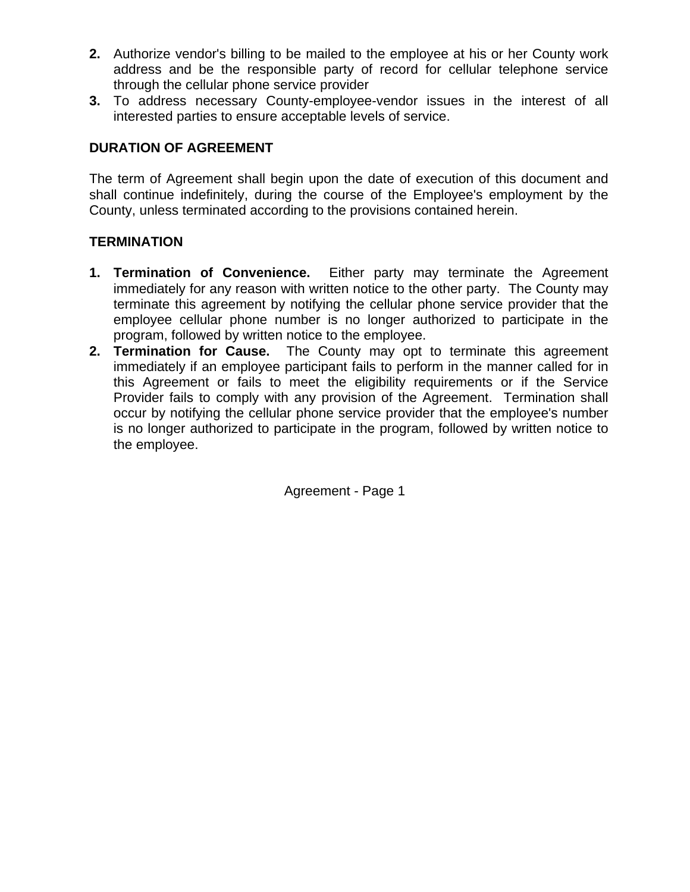- **2.** Authorize vendor's billing to be mailed to the employee at his or her County work address and be the responsible party of record for cellular telephone service through the cellular phone service provider
- **3.** To address necessary County-employee-vendor issues in the interest of all interested parties to ensure acceptable levels of service.

# **DURATION OF AGREEMENT**

The term of Agreement shall begin upon the date of execution of this document and shall continue indefinitely, during the course of the Employee's employment by the County, unless terminated according to the provisions contained herein.

# **TERMINATION**

- **1. Termination of Convenience.** Either party may terminate the Agreement immediately for any reason with written notice to the other party. The County may terminate this agreement by notifying the cellular phone service provider that the employee cellular phone number is no longer authorized to participate in the program, followed by written notice to the employee.
- **2. Termination for Cause.** The County may opt to terminate this agreement immediately if an employee participant fails to perform in the manner called for in this Agreement or fails to meet the eligibility requirements or if the Service Provider fails to comply with any provision of the Agreement. Termination shall occur by notifying the cellular phone service provider that the employee's number is no longer authorized to participate in the program, followed by written notice to the employee.

Agreement - Page 1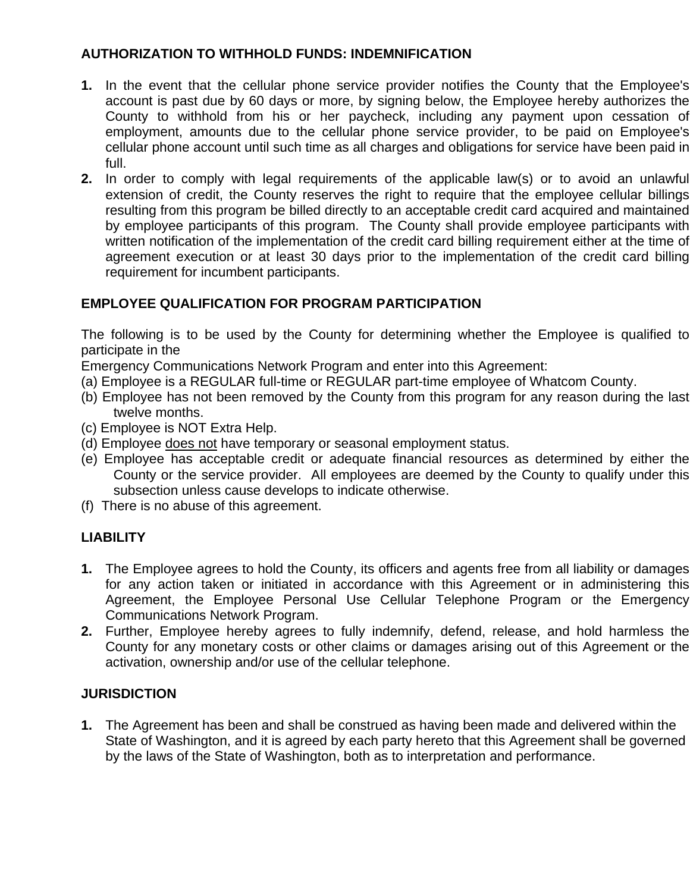### **AUTHORIZATION TO WITHHOLD FUNDS: INDEMNIFICATION**

- **1.** In the event that the cellular phone service provider notifies the County that the Employee's account is past due by 60 days or more, by signing below, the Employee hereby authorizes the County to withhold from his or her paycheck, including any payment upon cessation of employment, amounts due to the cellular phone service provider, to be paid on Employee's cellular phone account until such time as all charges and obligations for service have been paid in full.
- **2.** In order to comply with legal requirements of the applicable law(s) or to avoid an unlawful extension of credit, the County reserves the right to require that the employee cellular billings resulting from this program be billed directly to an acceptable credit card acquired and maintained by employee participants of this program. The County shall provide employee participants with written notification of the implementation of the credit card billing requirement either at the time of agreement execution or at least 30 days prior to the implementation of the credit card billing requirement for incumbent participants.

#### **EMPLOYEE QUALIFICATION FOR PROGRAM PARTICIPATION**

The following is to be used by the County for determining whether the Employee is qualified to participate in the

Emergency Communications Network Program and enter into this Agreement:

- (a) Employee is a REGULAR full-time or REGULAR part-time employee of Whatcom County.
- (b) Employee has not been removed by the County from this program for any reason during the last twelve months.
- (c) Employee is NOT Extra Help.
- (d) Employee does not have temporary or seasonal employment status.
- (e) Employee has acceptable credit or adequate financial resources as determined by either the County or the service provider. All employees are deemed by the County to qualify under this subsection unless cause develops to indicate otherwise.
- (f) There is no abuse of this agreement.

# **LIABILITY**

- **1.** The Employee agrees to hold the County, its officers and agents free from all liability or damages for any action taken or initiated in accordance with this Agreement or in administering this Agreement, the Employee Personal Use Cellular Telephone Program or the Emergency Communications Network Program.
- **2.** Further, Employee hereby agrees to fully indemnify, defend, release, and hold harmless the County for any monetary costs or other claims or damages arising out of this Agreement or the activation, ownership and/or use of the cellular telephone.

# **JURISDICTION**

**1.** The Agreement has been and shall be construed as having been made and delivered within the State of Washington, and it is agreed by each party hereto that this Agreement shall be governed by the laws of the State of Washington, both as to interpretation and performance.